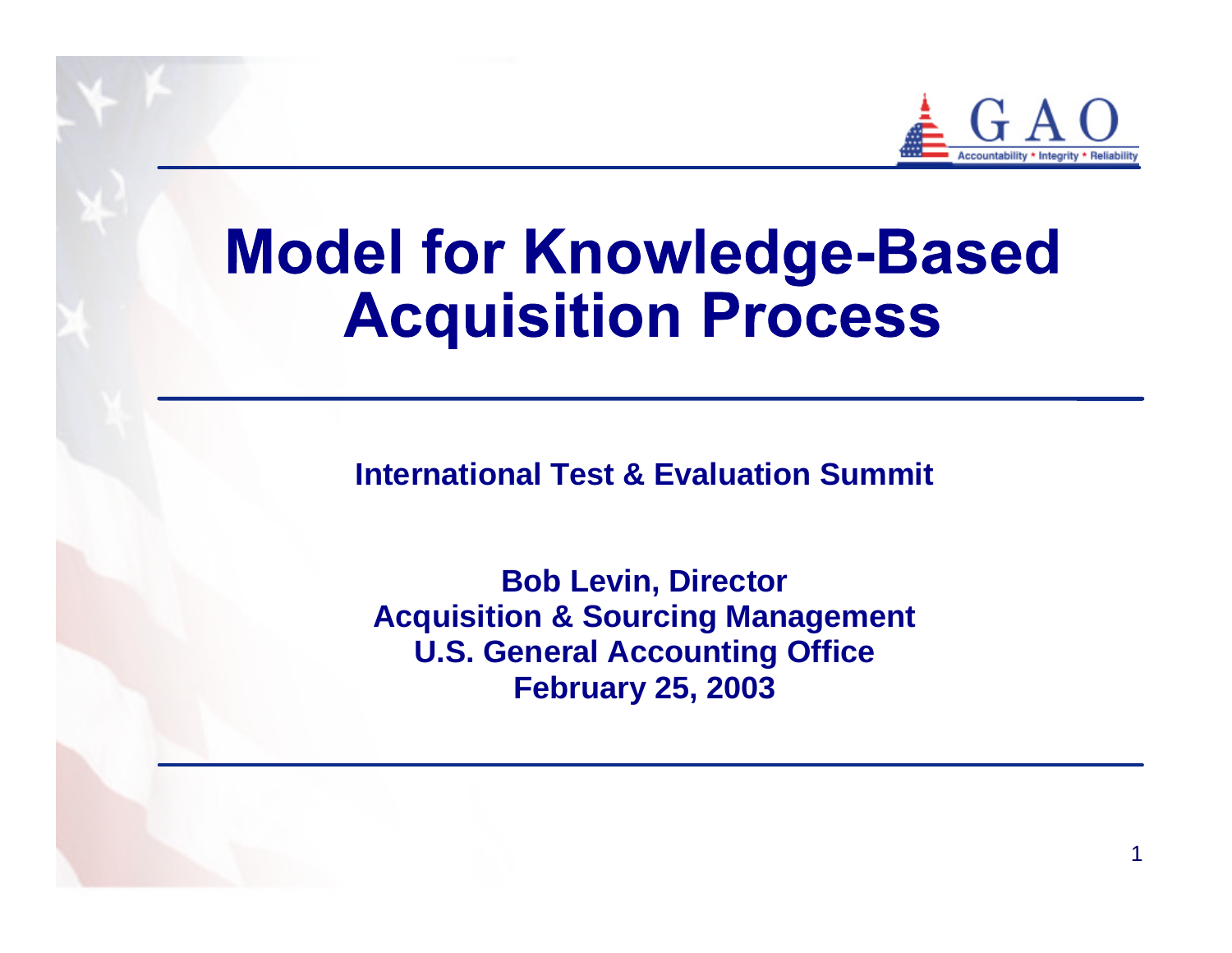

1

# **Model for Knowledge-Based Acquisition Process**

**International Test & Evaluation Summit**

**Bob Levin, Director Acquisition & Sourcing Management U.S. General Accounting Office February 25, 2003**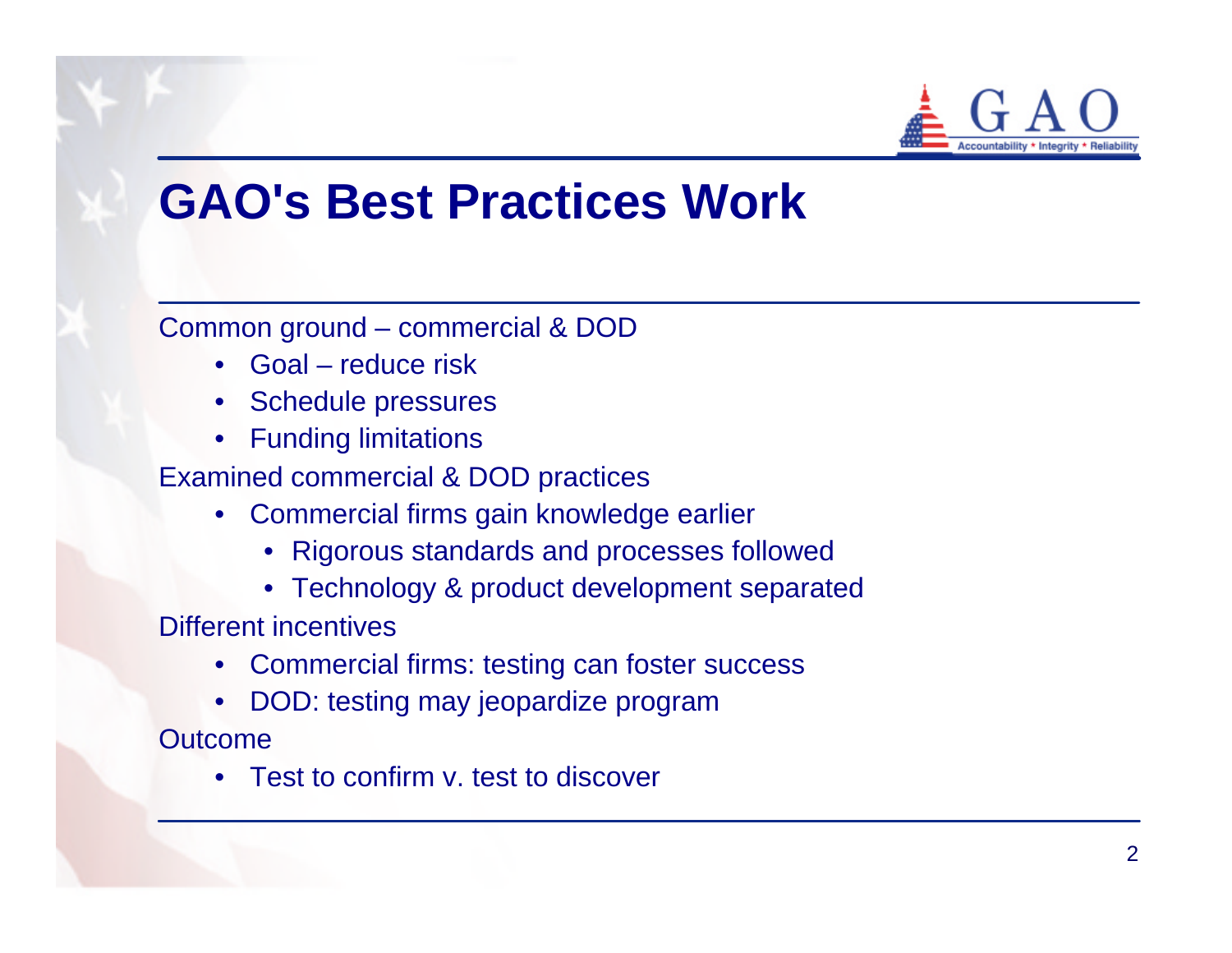

### **GAO's Best Practices Work**

Common ground – commercial & DOD

- Goal reduce risk
- Schedule pressures
- Funding limitations

Examined commercial & DOD practices

- Commercial firms gain knowledge earlier
	- Rigorous standards and processes followed
	- Technology & product development separated

Different incentives

- Commercial firms: testing can foster success
- DOD: testing may jeopardize program

**Outcome** 

• Test to confirm v. test to discover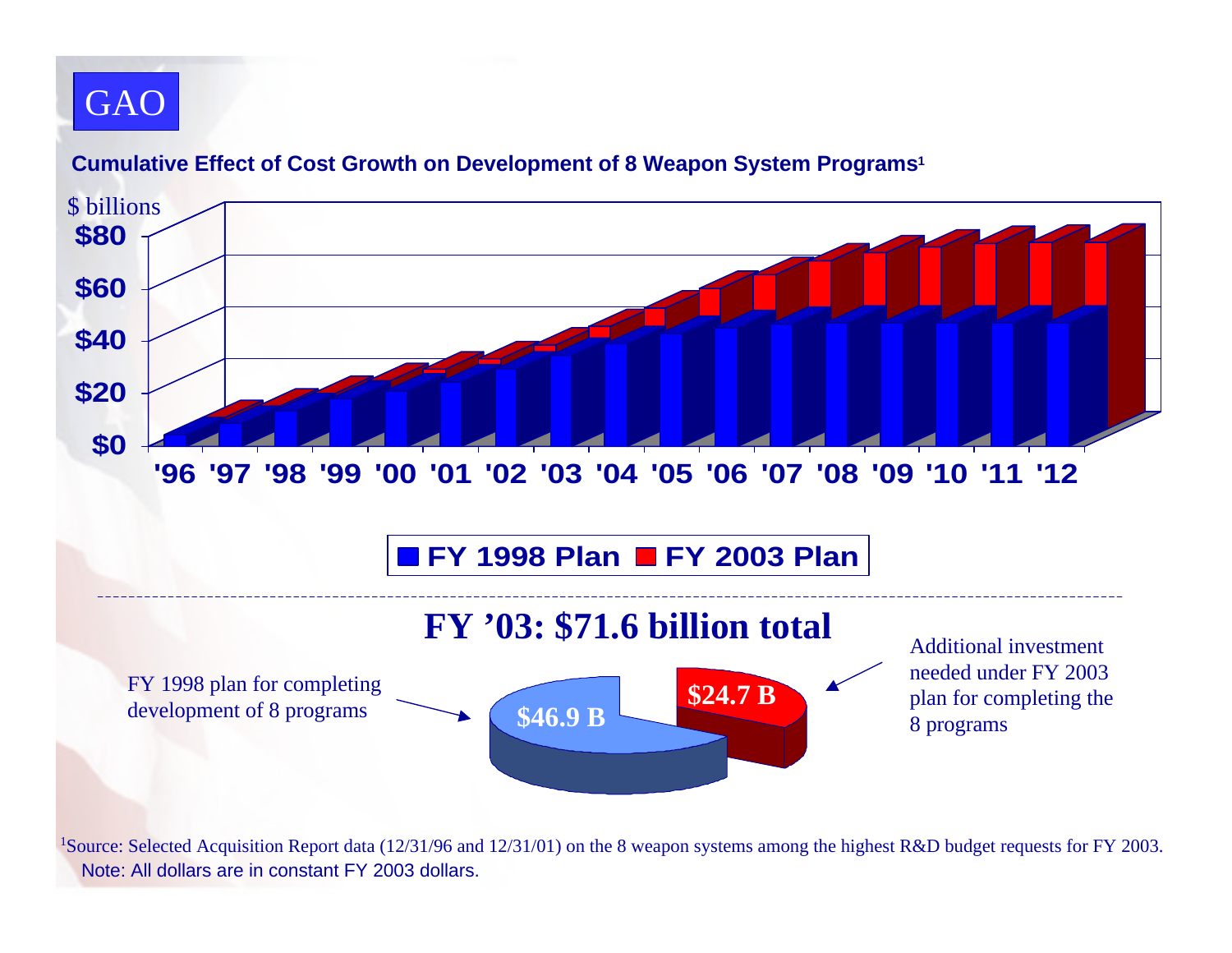#### GAO



#### **Cumulative Effect of Cost Growth on Development of 8 Weapon System Programs<sup>1</sup>**

<sup>1</sup>Source: Selected Acquisition Report data (12/31/96 and 12/31/01) on the 8 weapon systems among the highest R&D budget requests for FY 2003. Note: All dollars are in constant FY 2003 dollars.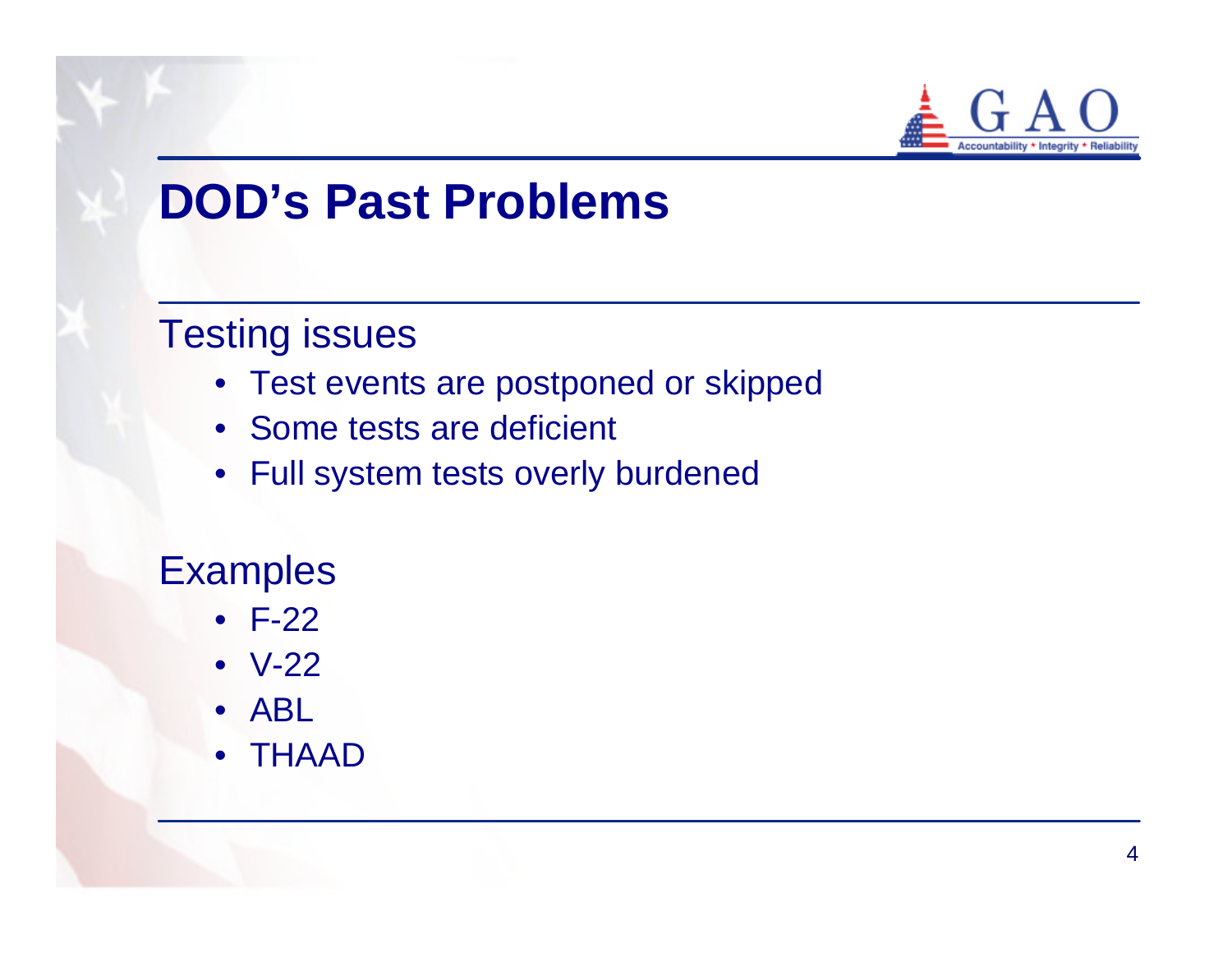

## **DOD's Past Problems**

#### Testing issues

- Test events are postponed or skipped
- Some tests are deficient
- Full system tests overly burdened

#### **Examples**

- F-22
- V-22
- ABL
- THAAD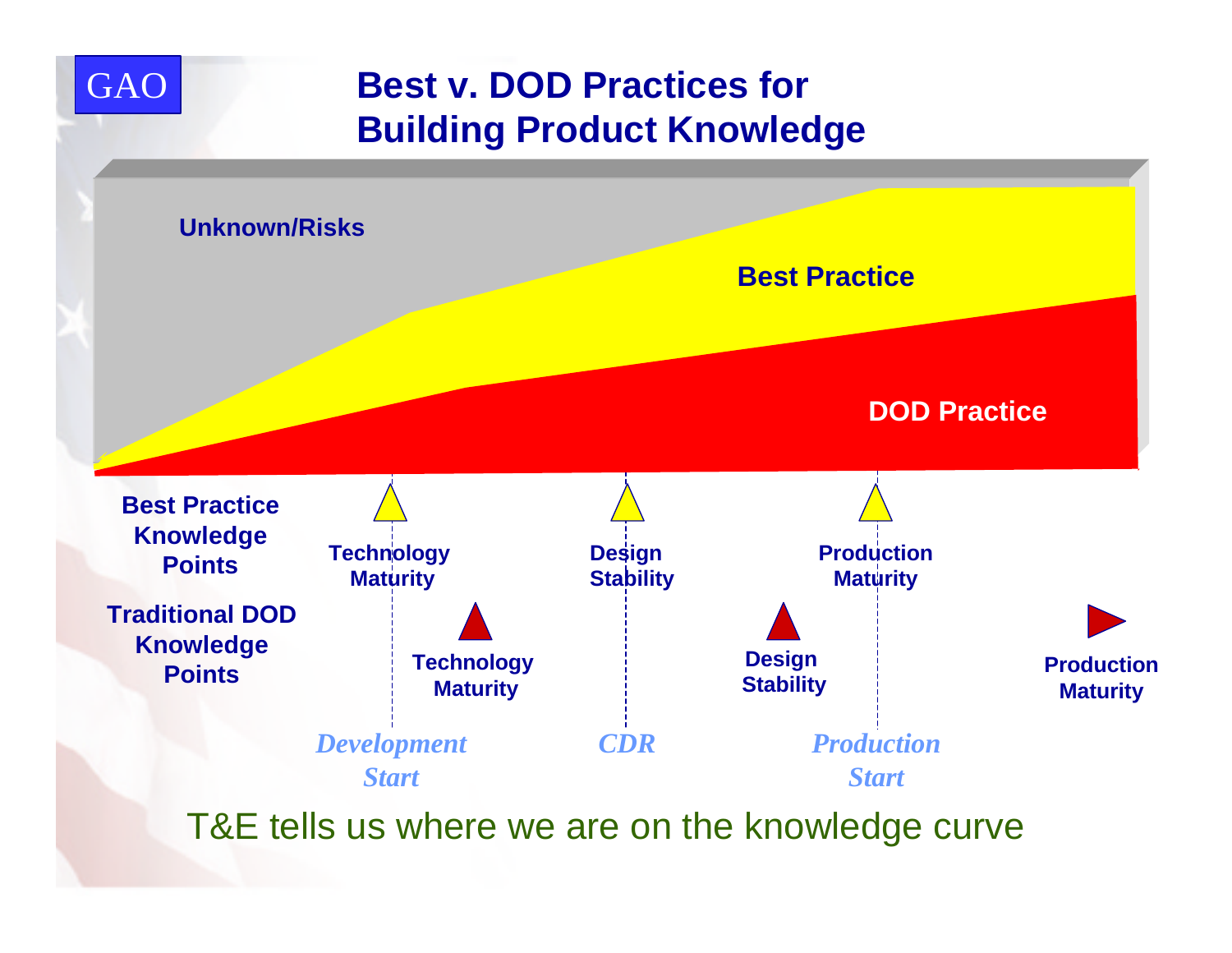

GAO



T&E tells us where we are on the knowledge curve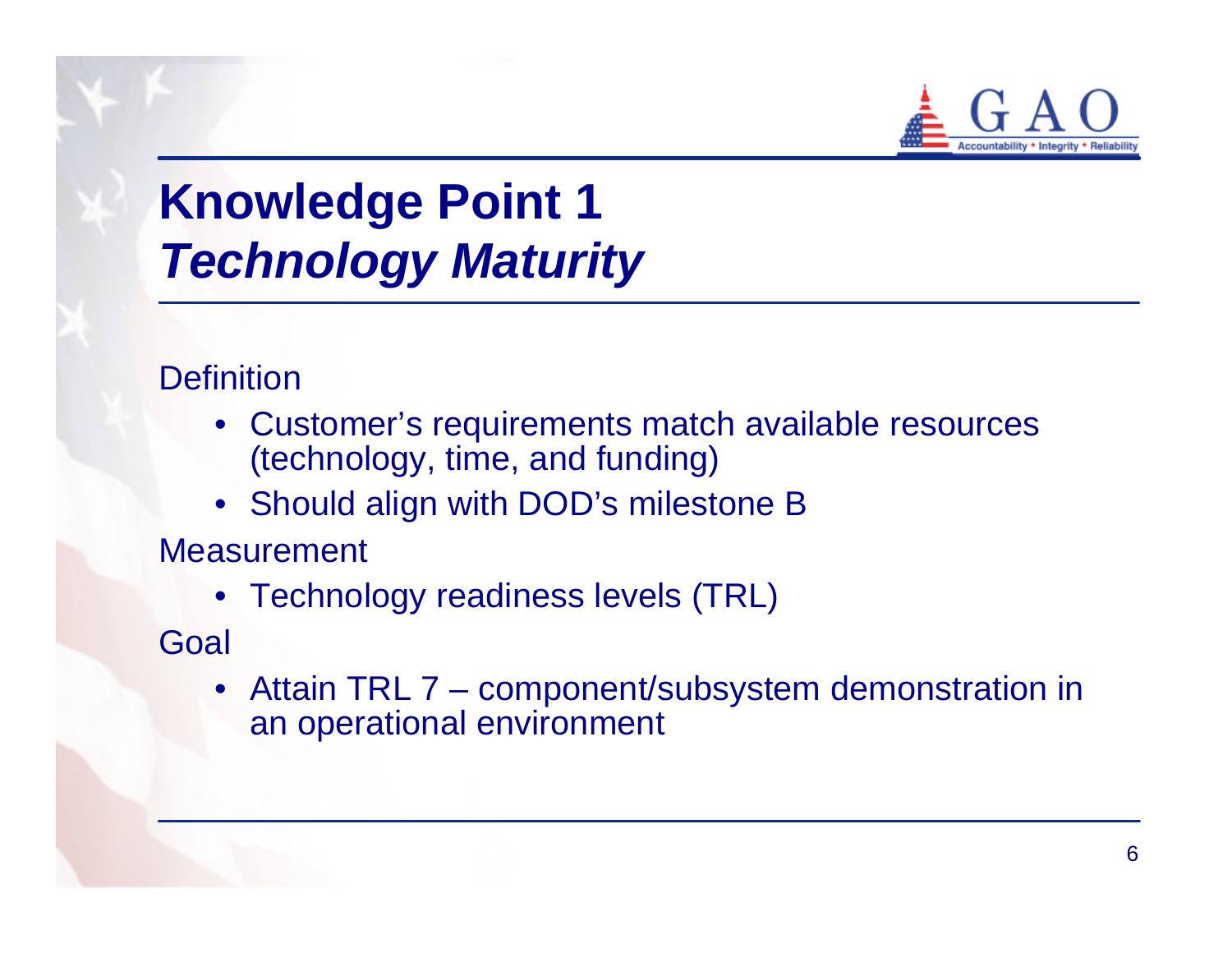

# **Knowledge Point 1** *Technology Maturity*

**Definition** 

- Customer's requirements match available resources (technology, time, and funding)
- Should align with DOD's milestone B

Measurement

• Technology readiness levels (TRL)

Goal

• Attain TRL 7 – component/subsystem demonstration in an operational environment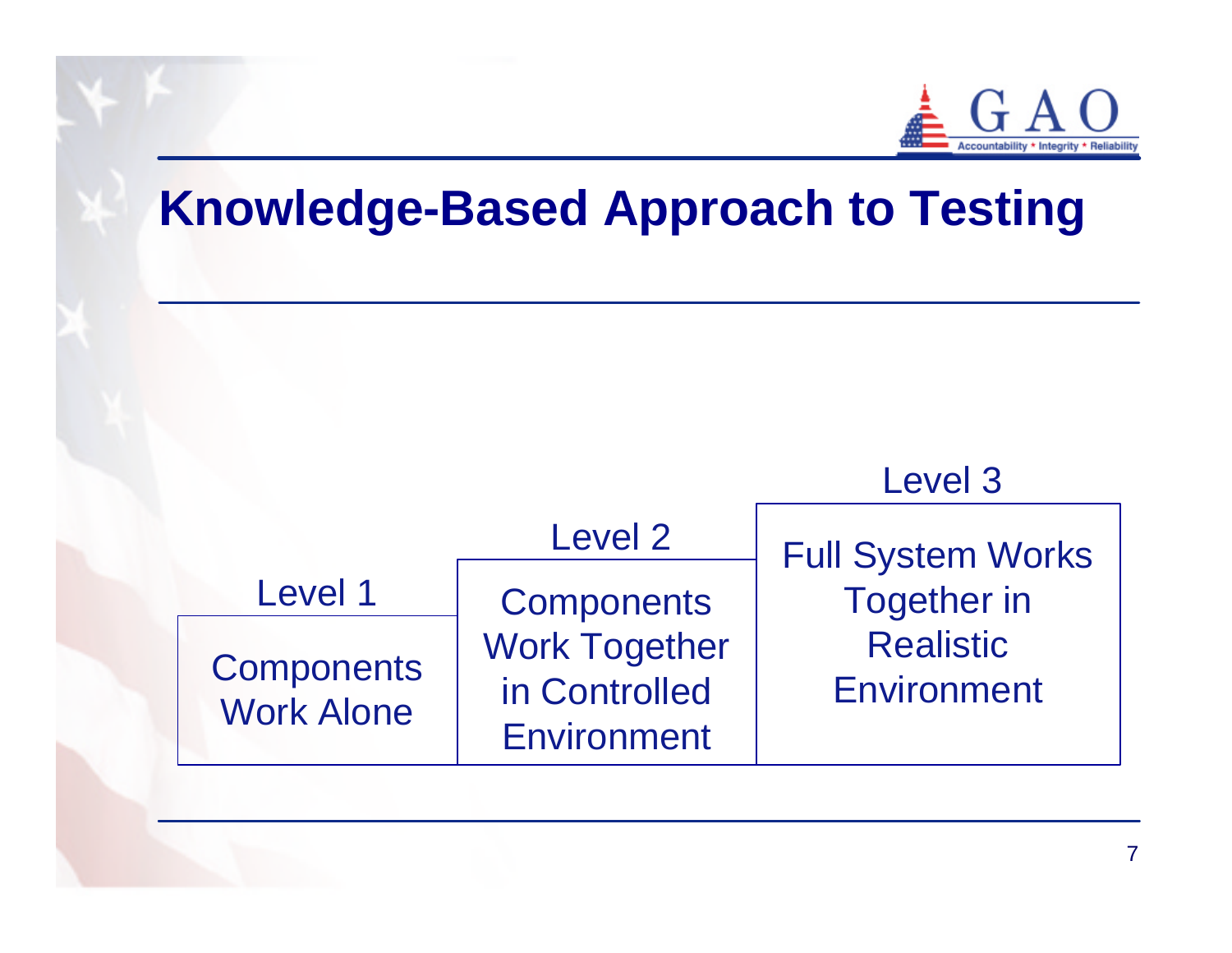

## **Knowledge-Based Approach to Testing**

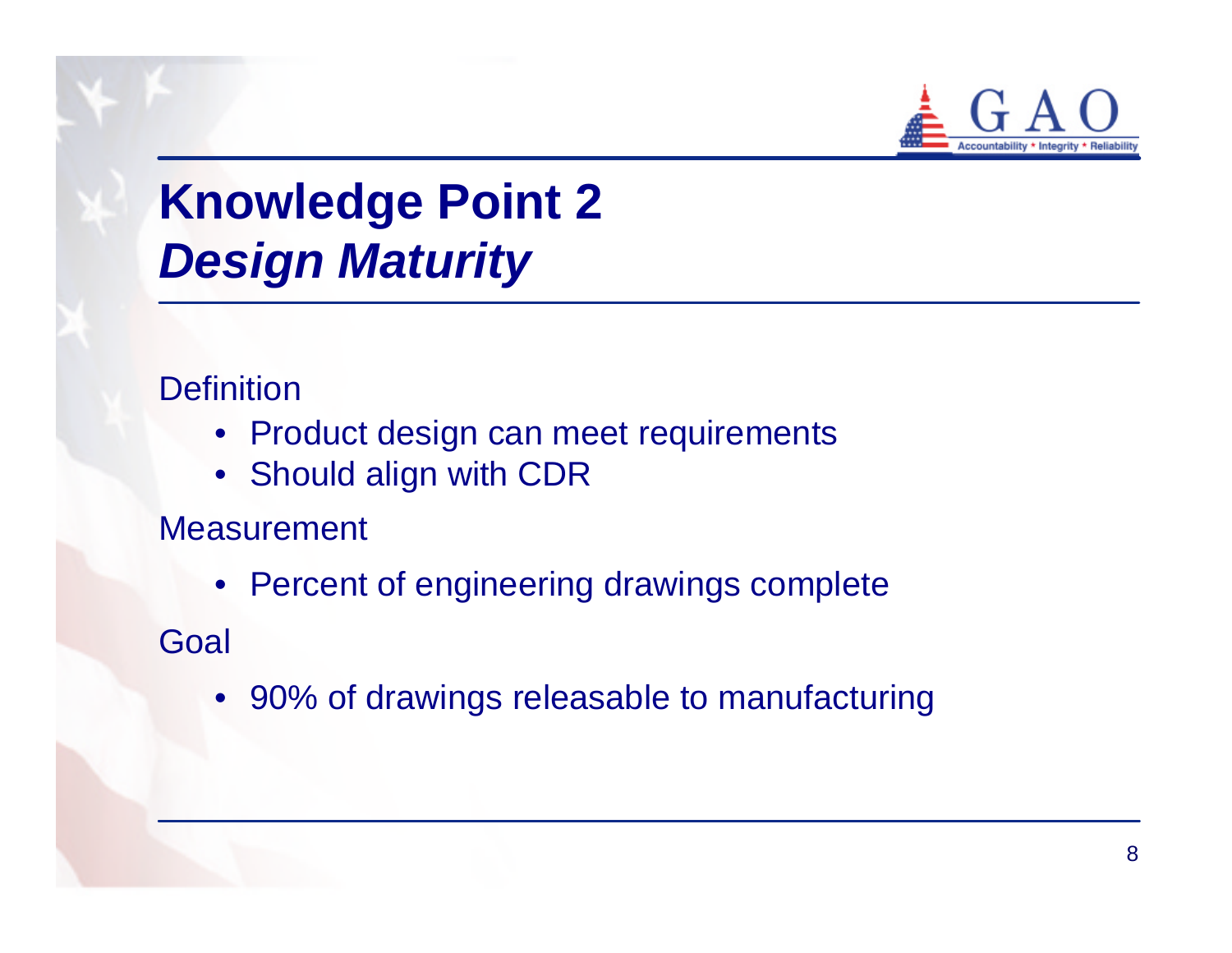

# **Knowledge Point 2** *Design Maturity*

**Definition** 

- Product design can meet requirements
- Should align with CDR

**Measurement** 

• Percent of engineering drawings complete

**Goal** 

• 90% of drawings releasable to manufacturing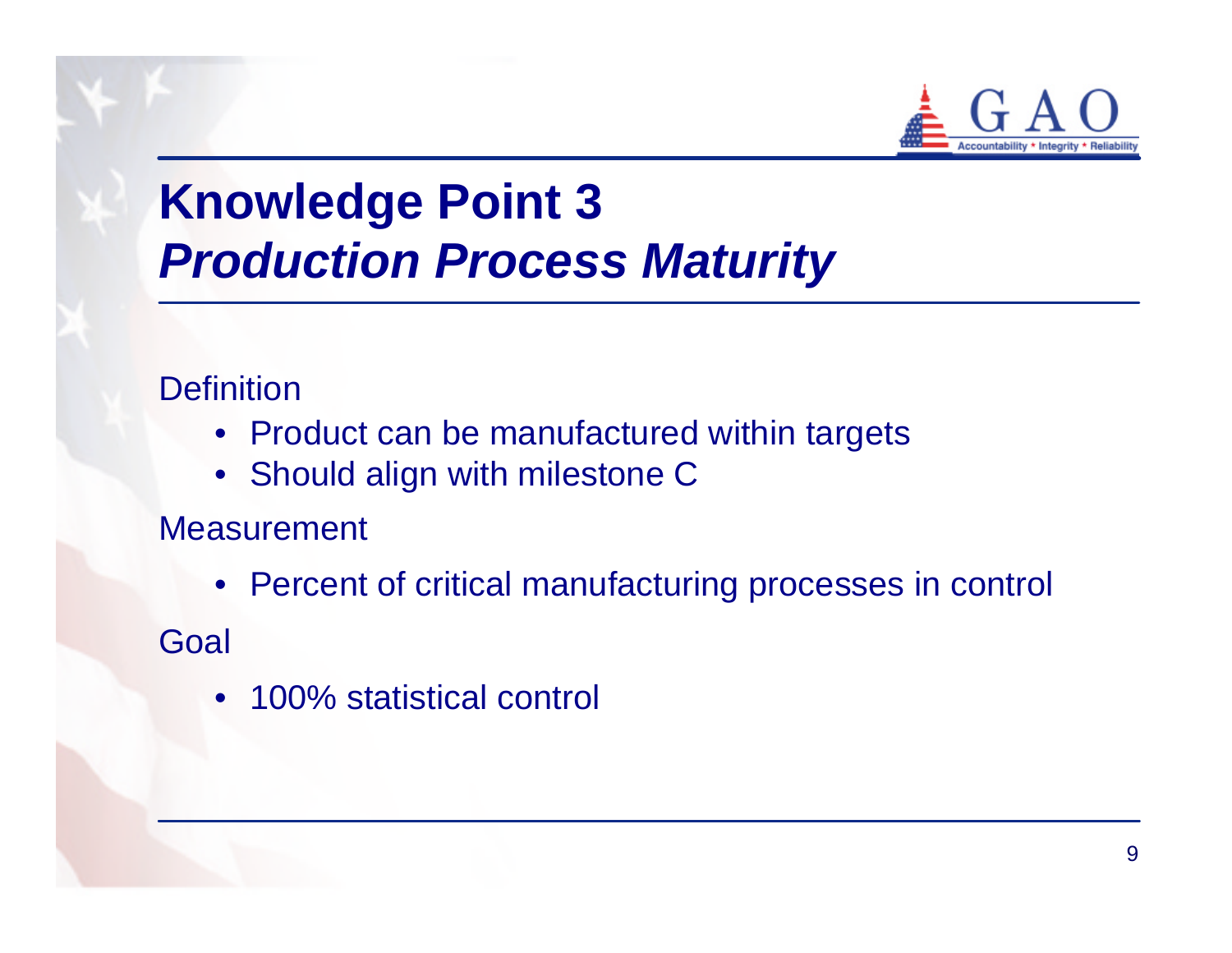

# **Knowledge Point 3** *Production Process Maturity*

**Definition** 

- Product can be manufactured within targets
- Should align with milestone C

Measurement

- Percent of critical manufacturing processes in control Goal
	- 100% statistical control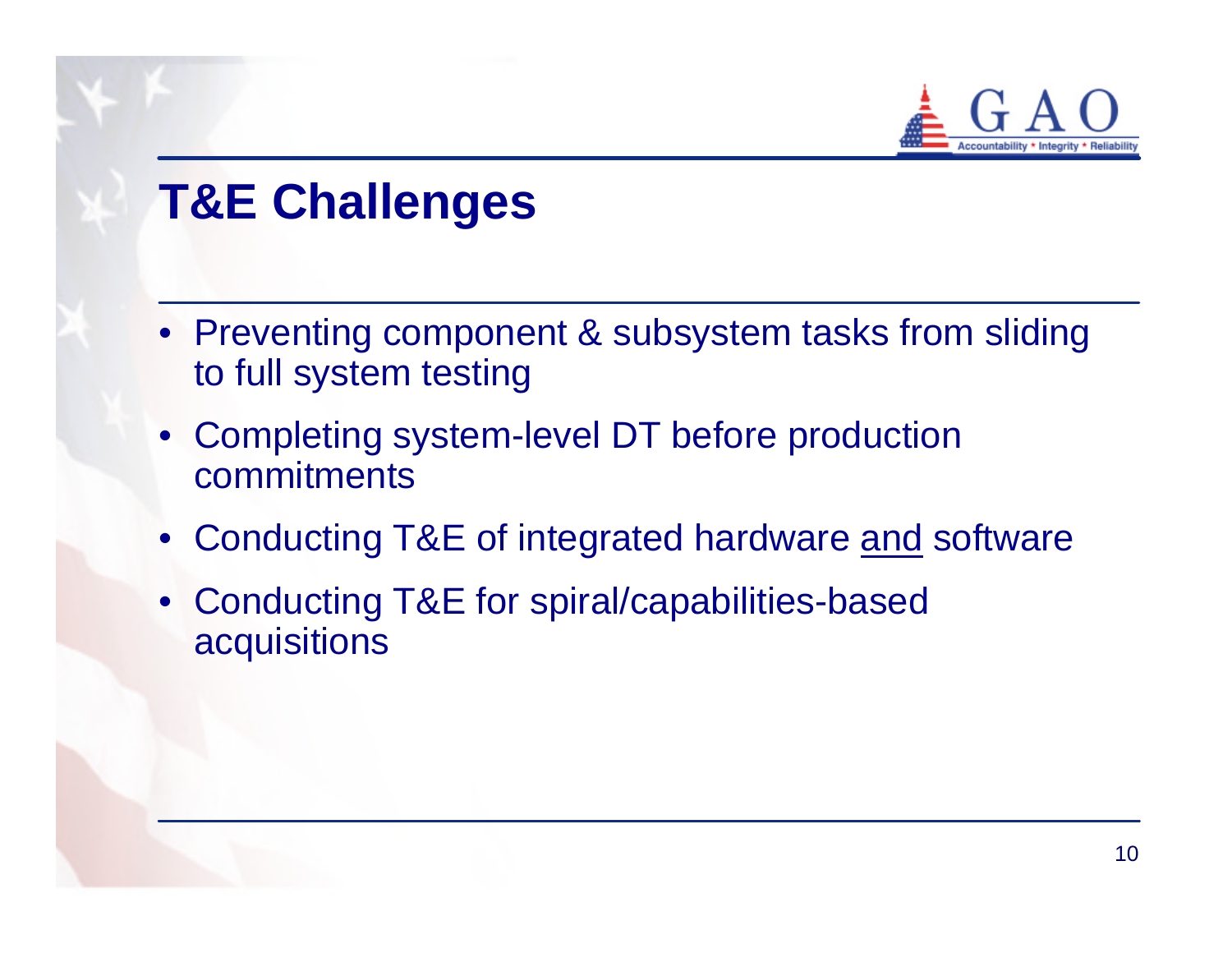

# **T&E Challenges**

- Preventing component & subsystem tasks from sliding to full system testing
- Completing system-level DT before production commitments
- Conducting T&E of integrated hardware and software
- Conducting T&E for spiral/capabilities-based acquisitions